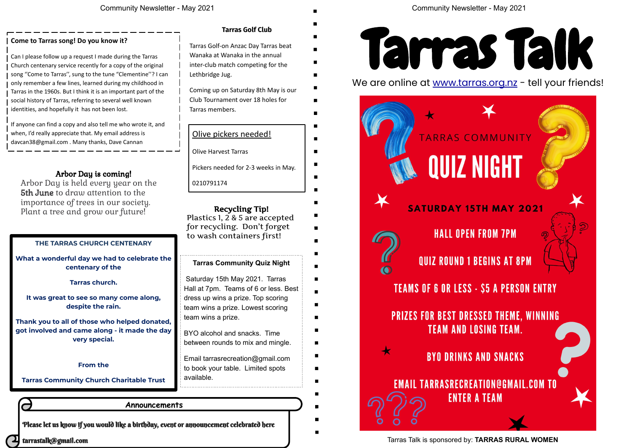Please let us know if you would like a birthday, event or announcement celebrated here

tarrastalk@gmail.com

#### **Announcements**

Tarras Talk is sponsored by: **TARRAS RURAL WOMEN**



### Olive pickers needed!

Olive Harvest Tarras

Pickers needed for 2-3 weeks in May.

0210791174

#### **Come to Tarras song! Do you know it?**

Can I please follow up a request I made during the Tarras Church centenary service recently for a copy of the original song "Come to Tarras", sung to the tune "Clementine"? I can only remember a few lines, learned during my childhood in Tarras in the 1960s. But I think it is an important part of the social history of Tarras, referring to several well known identities, and hopefully it has not been lost.

If anyone can find a copy and also tell me who wrote it, and when, I'd really appreciate that. My email address is davcan38@gmail.com . Many thanks, Dave Cannan

Arbor Day is held every year on the 5th June to draw attention to the importance of trees in our society. Plant a tree and grow our future!



We are online at www.tarras.org.nz - tell your friends!



## Tarras Golf-on Anzac Day Tarras beat

Wanaka at Wanaka in the annual inter-club match competing for the Lethbridge Jug.

Coming up on Saturday 8th May is our Club Tournament over 18 holes for Tarras members.

### **Tarras Community Quiz Night**

Saturday 15th May 2021. Tarras Hall at 7pm. Teams of 6 or less. Best dress up wins a prize. Top scoring team wins a prize. Lowest scoring team wins a prize.

BYO alcohol and snacks. Time between rounds to mix and mingle.

Email tarrasrecreation@gmail.com to book your table. Limited spots available.

#### **THE TARRAS CHURCH CENTENARY**

**What a wonderful day we had to celebrate the centenary of the**

**Tarras church.**

**It was great to see so many come along, despite the rain.**

**Thank you to all of those who helped donated, got involved and came along - it made the day very special.**

#### **From the**

**Tarras Community Church Charitable Trust**

### Arbor Day is coming!

Plastics 1, 2 & 5 are accepted for recycling. Don't forget to wash containers first!